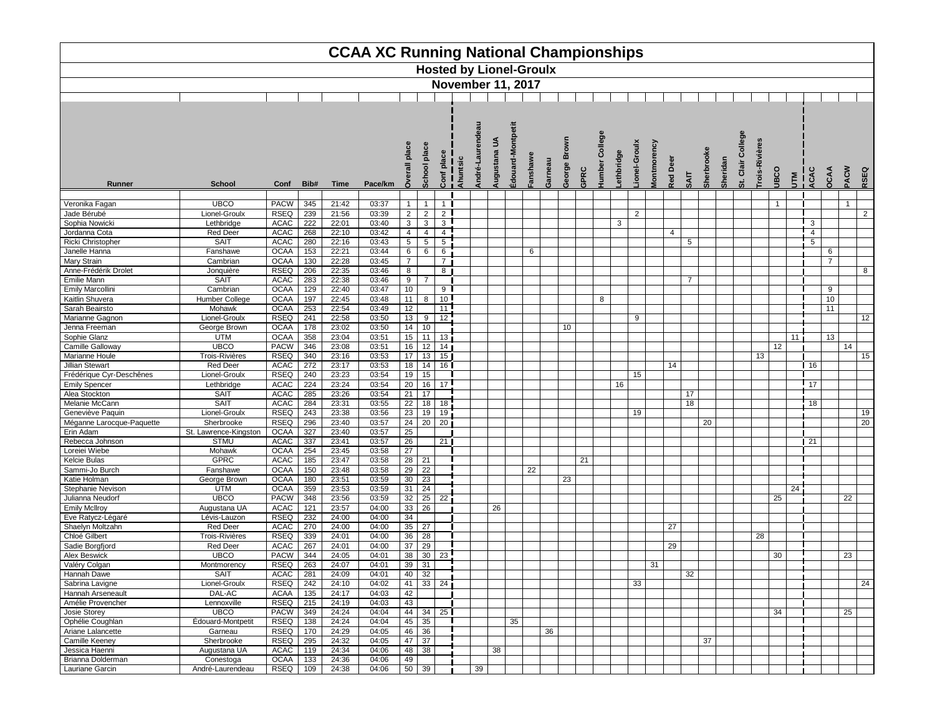

|                                                  |                                            |                                           |                   |                         | <b>CCAA XC Running National Championships</b> |                                                  |                                                 |                                             |          |        |                                |                       |        |         |        |      |                          |           |              |                    |                 |                 |                          |                               |                      |     |                    |                                   |                                  |
|--------------------------------------------------|--------------------------------------------|-------------------------------------------|-------------------|-------------------------|-----------------------------------------------|--------------------------------------------------|-------------------------------------------------|---------------------------------------------|----------|--------|--------------------------------|-----------------------|--------|---------|--------|------|--------------------------|-----------|--------------|--------------------|-----------------|-----------------|--------------------------|-------------------------------|----------------------|-----|--------------------|-----------------------------------|----------------------------------|
|                                                  |                                            |                                           |                   |                         |                                               |                                                  |                                                 |                                             |          |        | <b>Hosted by Lionel-Groulx</b> |                       |        |         |        |      |                          |           |              |                    |                 |                 |                          |                               |                      |     |                    |                                   |                                  |
|                                                  |                                            |                                           |                   |                         |                                               |                                                  |                                                 |                                             |          |        | <b>November 11, 2017</b>       |                       |        |         |        |      |                          |           |              |                    |                 |                 |                          |                               |                      |     |                    |                                   |                                  |
|                                                  |                                            |                                           |                   |                         |                                               |                                                  |                                                 |                                             |          |        |                                |                       |        |         |        |      |                          |           |              |                    |                 |                 |                          |                               |                      |     |                    |                                   |                                  |
| Runner                                           | <b>School</b>                              | Conf                                      | Bib#              | <b>Time</b>             | Pace/km                                       | plac                                             | pla<br>င်္ဂ                                     | $\overline{\mathbf{a}}$<br>Conf             | Ahuntsic | André- | $\mathbf{S}$<br>ugustana       | ontpetit<br>Edouard-M | anshaw | Garneau | George | GPRC | College<br><b>Iumber</b> | ethbridge | ionel-Groulx | <b>Montmorency</b> | <b>Red Deer</b> | <b>TIAS</b>     | Sheridan<br><b>Sherb</b> | College<br>Clair<br>$\vec{a}$ | rois-Rivière<br>JBCO | UTM | I<br>I GAC<br>ACAC | <b>OCAA</b>                       | PACW<br>RSEQ                     |
|                                                  |                                            |                                           |                   |                         |                                               | $\Omega$                                         |                                                 |                                             |          |        |                                |                       |        |         |        |      |                          |           |              |                    |                 |                 |                          |                               |                      |     |                    |                                   |                                  |
| Veronika Fagan<br>Jade Bérubé<br>Sophia Nowicki  | <b>UBCO</b><br>Lionel-Groulx<br>Lethbridge | <b>PACW</b><br><b>RSEQ</b><br><b>ACAC</b> | 345<br>239<br>222 | 21:42<br>21:56<br>22:01 | 03:37<br>03:39<br>03:40                       | $\mathbf{1}$<br>2 <sup>1</sup><br>$\overline{3}$ | $\mathbf{1}$<br>$2\overline{ }$<br>$\mathbf{3}$ | $1 \vert$<br>$\overline{2}$<br>$\mathbf{3}$ |          |        |                                |                       |        |         |        |      |                          | 3         | 2            |                    |                 |                 |                          |                               | $\mathbf{1}$         |     | 3                  |                                   | $\overline{1}$<br>$\overline{2}$ |
| Jordanna Cota                                    | <b>Red Deer</b>                            | <b>ACAC</b>                               | 268               | 22:10                   | 03:42                                         | $\overline{4}$                                   | $\overline{4}$                                  | $\overline{4}$                              |          |        |                                |                       |        |         |        |      |                          |           |              |                    | $\overline{4}$  |                 |                          |                               |                      |     | 4                  |                                   |                                  |
| Ricki Christopher                                | <b>SAIT</b>                                | <b>ACAC</b>                               | 280               | 22:16                   | 03:43                                         | $\overline{5}$                                   | $5\phantom{.0}$                                 | $5\phantom{.0}$                             |          |        |                                |                       |        |         |        |      |                          |           |              |                    |                 | $5\phantom{.0}$ |                          |                               |                      |     | 5                  |                                   |                                  |
| Janelle Hanna<br>Mary Strain                     | Fanshawe<br>Cambrian                       | <b>OCAA</b>                               | 153               | 22:21                   | 03:44                                         | $6\overline{6}$                                  | $6\overline{6}$                                 | 6                                           |          |        |                                |                       | 6      |         |        |      |                          |           |              |                    |                 |                 |                          |                               |                      |     |                    | $6\phantom{.}6$<br>$\overline{7}$ |                                  |
| Anne-Frédérik Drolet                             | Jonquière                                  | <b>OCAA</b><br><b>RSEQ</b>                | 130<br>206        | 22:28<br>22:35          | 03:45<br>03:46                                | $\overline{7}$<br>8                              |                                                 | $\overline{7}$<br>8                         |          |        |                                |                       |        |         |        |      |                          |           |              |                    |                 |                 |                          |                               |                      |     |                    |                                   | 8                                |
| Emilie Mann                                      | <b>SAIT</b>                                | <b>ACAC</b>                               | 283               | 22:38                   | 03:46                                         | 9                                                | $\overline{7}$                                  |                                             |          |        |                                |                       |        |         |        |      |                          |           |              |                    |                 | $\overline{7}$  |                          |                               |                      |     |                    |                                   |                                  |
| <b>Emily Marcollini</b>                          | Cambrian                                   | <b>OCAA</b>                               | 129               | 22:40                   | 03:47                                         | 10                                               |                                                 | 9                                           |          |        |                                |                       |        |         |        |      |                          |           |              |                    |                 |                 |                          |                               |                      |     |                    | 9                                 |                                  |
| Kaitlin Shuvera                                  | Humber College                             | <b>OCAA</b>                               | 197               | 22:45                   | 03:48                                         | 11                                               | 8 <sup>1</sup>                                  | 10 <sup>1</sup>                             |          |        |                                |                       |        |         |        |      | 8                        |           |              |                    |                 |                 |                          |                               |                      |     |                    | 10                                |                                  |
| Sarah Beairsto                                   | Mohawk<br>Lionel-Groulx                    | <b>OCAA</b>                               | 253               | 22:54                   | 03:49                                         | 12                                               |                                                 | 11<br>12                                    |          |        |                                |                       |        |         |        |      |                          |           |              |                    |                 |                 |                          |                               |                      |     |                    | 11                                |                                  |
| Marianne Gagnon<br>Jenna Freeman                 | George Brown                               | <b>RSEQ</b><br><b>OCAA</b>                | 241<br>178        | 22:58<br>23:02          | 03:50<br>03:50                                | 13<br>14                                         | 9<br>10 <sub>1</sub>                            |                                             |          |        |                                |                       |        |         | 10     |      |                          |           | 9            |                    |                 |                 |                          |                               |                      |     |                    |                                   | 12                               |
| Sophie Glanz                                     | <b>UTM</b>                                 | <b>OCAA</b>                               | 358               | 23:04                   | 03:51                                         | 15                                               |                                                 | $\overline{11}$   13                        |          |        |                                |                       |        |         |        |      |                          |           |              |                    |                 |                 |                          |                               |                      | 11  |                    | 13                                |                                  |
| Camille Galloway                                 | <b>UBCO</b>                                | <b>PACW</b>                               | 346               | 23:08                   | 03:51                                         | 16                                               |                                                 | $12$ 14                                     |          |        |                                |                       |        |         |        |      |                          |           |              |                    |                 |                 |                          |                               | 12                   |     |                    |                                   | 14                               |
| Marianne Houle                                   | Trois-Rivières                             | <b>RSEQ</b>                               | 340               | 23:16                   | 03:53                                         | 17                                               |                                                 | $13$ 15                                     |          |        |                                |                       |        |         |        |      |                          |           |              |                    |                 |                 |                          |                               | 13                   |     |                    |                                   | 15                               |
| <b>Jillian Stewart</b>                           | <b>Red Deer</b>                            | <b>ACAC</b>                               | 272               | 23:17                   | 03:53                                         | 18                                               | 14                                              | 16 I                                        |          |        |                                |                       |        |         |        |      |                          |           |              |                    | 14              |                 |                          |                               |                      |     | 116                |                                   |                                  |
| Frédérique Cyr-Deschênes<br><b>Emily Spencer</b> | Lionel-Groulx<br>Lethbridge                | RSEQ<br>ACAC                              | 240<br>224        | 23:23<br>23:24          | 03:54<br>03:54                                | 19<br>20                                         | 15                                              | $16$ 17                                     |          |        |                                |                       |        |         |        |      |                          | 16        | 15           |                    |                 |                 |                          |                               |                      |     | 17                 |                                   |                                  |
| Alea Stockton                                    | <b>SAIT</b>                                | ACAC                                      | 285               | 23:26                   | 03:54                                         | $\overline{21}$                                  | $\overline{17}$                                 |                                             |          |        |                                |                       |        |         |        |      |                          |           |              |                    |                 | 17              |                          |                               |                      |     |                    |                                   |                                  |
| Melanie McCann                                   | <b>SAIT</b>                                | ACAC                                      | 284               | 23:31                   | 03:55                                         |                                                  | 18                                              | 18                                          |          |        |                                |                       |        |         |        |      |                          |           |              |                    |                 | 18              |                          |                               |                      |     | 18                 |                                   |                                  |
| Geneviève Paquin                                 | Lionel-Groulx                              | RSEQ                                      | 243               | 23:38                   | 03:56                                         | $\frac{22}{23}$                                  | 19                                              | 19                                          |          |        |                                |                       |        |         |        |      |                          |           | 19           |                    |                 |                 |                          |                               |                      |     |                    |                                   | 1 <sub>S</sub>                   |
| Méganne Larocque-Paquette                        | Sherbrooke                                 | <b>RSEQ</b>                               | 296               | 23:40                   | 03:57                                         | 24                                               |                                                 | $20 \mid 20$                                |          |        |                                |                       |        |         |        |      |                          |           |              |                    |                 |                 | 20                       |                               |                      |     |                    |                                   | 20                               |
| Erin Adam                                        | St. Lawrence-Kingston                      | <b>OCAA</b>                               | 327               | 23:40                   | 03:57                                         | 25                                               |                                                 |                                             |          |        |                                |                       |        |         |        |      |                          |           |              |                    |                 |                 |                          |                               |                      |     |                    |                                   |                                  |
| Rebecca Johnson<br>Loreiei Wiebe                 | <b>STMU</b><br>Mohawk                      | <b>ACAC</b><br><b>OCAA</b>                | 337<br>254        | 23:41<br>23:45          | 03:57<br>03:58                                | 26<br>$\overline{27}$                            |                                                 | 21                                          |          |        |                                |                       |        |         |        |      |                          |           |              |                    |                 |                 |                          |                               |                      |     | $\sqrt{21}$        |                                   |                                  |
| Kelcie Bulas                                     | <b>GPRC</b>                                | <b>ACAC</b>                               | 185               | 23:47                   | 03:58                                         | 28                                               | 21                                              |                                             |          |        |                                |                       |        |         |        | 21   |                          |           |              |                    |                 |                 |                          |                               |                      |     |                    |                                   |                                  |
| Sammi-Jo Burch                                   | Fanshawe                                   | <b>OCAA</b>                               | 150               | 23:48                   | 03:58                                         | $\overline{29}$                                  | 22                                              |                                             |          |        |                                |                       | 22     |         |        |      |                          |           |              |                    |                 |                 |                          |                               |                      |     |                    |                                   |                                  |
| Katie Holman                                     | George Brown                               | <b>OCAA</b>                               | 180               | 23:51                   | 03:59                                         | 30 <sup>2</sup>                                  | 23                                              |                                             |          |        |                                |                       |        |         | 23     |      |                          |           |              |                    |                 |                 |                          |                               |                      |     |                    |                                   |                                  |
| Stephanie Nevison                                | <b>UTM</b>                                 | <b>OCAA</b>                               | 359               | 23:53                   | 03:59                                         | $\overline{31}$                                  | 24                                              |                                             |          |        |                                |                       |        |         |        |      |                          |           |              |                    |                 |                 |                          |                               |                      | 24  |                    |                                   |                                  |
| Julianna Neudorf                                 | <b>UBCO</b>                                | <b>PACW</b>                               | 348               | 23:56                   | 03:59                                         | 32                                               |                                                 | $25 \mid 22 \mid$                           |          |        |                                |                       |        |         |        |      |                          |           |              |                    |                 |                 |                          |                               | 25                   |     |                    |                                   | 22                               |
| <b>Emily McIlroy</b><br>Eve Ratycz-Légaré        | Augustana UA<br>Lévis-Lauzon               | ACAC<br>RSEQ                              | 121<br>232        | 23:57<br>24:00          | 04:00<br>04:00                                | 33<br>34                                         | 26                                              |                                             |          |        | 26                             |                       |        |         |        |      |                          |           |              |                    |                 |                 |                          |                               |                      |     |                    |                                   |                                  |
| Shaelyn Moltzahn                                 | <b>Red Deer</b>                            | ACAC                                      | 270               | 24:00                   | 04:00                                         | $\overline{35}$                                  | 27                                              |                                             |          |        |                                |                       |        |         |        |      |                          |           |              |                    | 27              |                 |                          |                               |                      |     |                    |                                   |                                  |
| Chloé Gilbert                                    | <b>Trois-Rivières</b>                      | <b>RSEQ</b>                               | 339               | 24:01                   | 04:00                                         | 36                                               | 28                                              |                                             |          |        |                                |                       |        |         |        |      |                          |           |              |                    |                 |                 |                          |                               | 28                   |     |                    |                                   |                                  |
| Sadie Borgfjord                                  | <b>Red Deer</b>                            | <b>ACAC</b>                               | 267               | 24:01                   | 04:00                                         | $\overline{37}$                                  | $\overline{29}$                                 |                                             |          |        |                                |                       |        |         |        |      |                          |           |              |                    | 29              |                 |                          |                               |                      |     |                    |                                   |                                  |
| Alex Beswick                                     | <b>UBCO</b>                                | <b>PACW</b>                               | 344               | 24:05                   | 04:01                                         | $38\,$                                           |                                                 | $30 \mid 23$                                |          |        |                                |                       |        |         |        |      |                          |           |              |                    |                 |                 |                          |                               | 30                   |     |                    |                                   | 23                               |
| Valéry Colgan                                    | Montmorency                                | <b>RSEQ</b>                               | 263               | 24:07                   | 04:01                                         | $\overline{39}$                                  | 31                                              |                                             |          |        |                                |                       |        |         |        |      |                          |           |              | 31                 |                 |                 |                          |                               |                      |     |                    |                                   |                                  |
| Hannah Dawe<br>Sabrina Lavigne                   | <b>SAIT</b><br>Lionel-Groulx               | <b>ACAC</b><br><b>RSEQ</b>                | 281<br>242        | 24:09<br>24:10          | 04:01<br>04:02                                | 40<br>41                                         | 32                                              | 33 24                                       |          |        |                                |                       |        |         |        |      |                          |           | 33           |                    |                 | 32              |                          |                               |                      |     |                    |                                   | 24                               |
| Hannah Arseneault                                | DAL-AC                                     | <b>ACAA</b>                               | 135               | 24:17                   | 04:03                                         | 42                                               |                                                 |                                             |          |        |                                |                       |        |         |        |      |                          |           |              |                    |                 |                 |                          |                               |                      |     |                    |                                   |                                  |
| Amélie Provencher                                | Lennoxville                                | RSEQ                                      | 215               | 24:19                   | 04:03                                         | 43                                               |                                                 |                                             |          |        |                                |                       |        |         |        |      |                          |           |              |                    |                 |                 |                          |                               |                      |     |                    |                                   |                                  |
| Josie Storey                                     | <b>UBCO</b>                                | <b>PACW</b>                               | 349               | 24:24                   | 04:04                                         | 44                                               | 34                                              | 25 <sup>1</sup>                             |          |        |                                |                       |        |         |        |      |                          |           |              |                    |                 |                 |                          |                               | 34                   |     |                    |                                   | 25                               |
| Ophélie Coughlan                                 | Édouard-Montpetit                          | RSEQ                                      | 138               | 24:24                   | 04:04                                         | 45                                               | 35                                              |                                             |          |        |                                | 35                    |        |         |        |      |                          |           |              |                    |                 |                 |                          |                               |                      |     |                    |                                   |                                  |
| Ariane Lalancette                                | Garneau                                    | RSEQ                                      | 170               | 24:29                   | 04:05                                         | 46<br>47                                         | 36<br>$\overline{37}$                           |                                             |          |        |                                |                       |        | 36      |        |      |                          |           |              |                    |                 |                 |                          |                               |                      |     |                    |                                   |                                  |
| <b>Camille Keeney</b><br>Jessica Haenni          | Sherbrooke<br>Augustana UA                 | <b>RSEQ</b><br><b>ACAC</b>                | 295<br>119        | 24:32<br>24:34          | 04:05<br>04:06                                | 48                                               | 38                                              |                                             |          |        | 38                             |                       |        |         |        |      |                          |           |              |                    |                 |                 | 37                       |                               |                      |     |                    |                                   |                                  |
| Brianna Dolderman                                | Conestoga                                  | <b>OCAA</b>                               | 133               | 24:36                   | 04:06                                         | 49                                               |                                                 |                                             |          |        |                                |                       |        |         |        |      |                          |           |              |                    |                 |                 |                          |                               |                      |     |                    |                                   |                                  |
| Lauriane Garcin                                  | André-Laurendeau                           | RSEQ                                      | 109               | 24:38                   | 04:06                                         | 50                                               | 39                                              |                                             |          | 39     |                                |                       |        |         |        |      |                          |           |              |                    |                 |                 |                          |                               |                      |     |                    |                                   |                                  |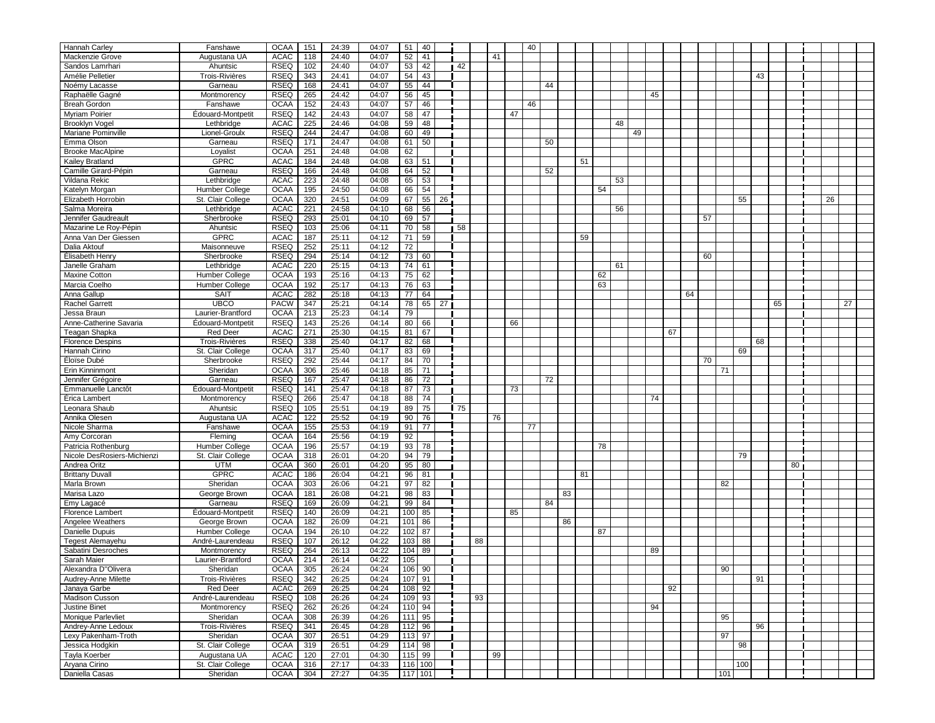| Hannah Carley                         | Fanshawe                        | <b>OCAA</b>                | 151        | 24:39          | 04:07          | 51              | 40               |    |      |    |    |    | 40 |    |    |    |    |    |     |    |    |    |  |
|---------------------------------------|---------------------------------|----------------------------|------------|----------------|----------------|-----------------|------------------|----|------|----|----|----|----|----|----|----|----|----|-----|----|----|----|--|
| Mackenzie Grove                       | Augustana UA                    | <b>ACAC</b>                | 118        | 24:40          | 04:07          | 52              | 41               |    |      |    | 41 |    |    |    |    |    |    |    |     |    |    |    |  |
| Sandos Lamrhari                       | Ahuntsic                        | <b>RSEQ</b>                | 102        | 24:40          | 04:07          | 53              | 42               |    | 42   |    |    |    |    |    |    |    |    |    |     |    |    |    |  |
| Amélie Pelletier                      | Trois-Rivières                  | <b>RSEQ</b>                | 343        | 24:41          | 04:07          |                 |                  |    |      |    |    |    |    |    |    |    |    |    |     |    |    |    |  |
|                                       | Garneau                         | <b>RSEQ</b>                | 168        | 24:41          | 04:07          | 54              | 43<br>44         |    |      |    |    |    |    |    |    |    |    |    |     | 43 |    |    |  |
| Noémy Lacasse                         |                                 |                            |            |                |                | 55              |                  |    |      |    |    |    |    | 44 |    |    |    |    |     |    |    |    |  |
| Raphaëlle Gagné                       | Montmorency                     | <b>RSEQ</b>                | 265        | 24:42          | 04:07          | 56              | 45               |    |      |    |    |    |    |    |    |    | 45 |    |     |    |    |    |  |
| <b>Breah Gordon</b>                   | Fanshawe                        | <b>OCAA</b>                | 152        | 24:43          | 04:07          | 57              | 46               |    |      |    |    |    | 46 |    |    |    |    |    |     |    |    |    |  |
| <b>Myriam Poirier</b>                 | Édouard-Montpetit               | <b>RSEQ</b>                | 142        | 24:43          | 04:07          | 58              | 47               |    |      |    |    | 47 |    |    |    |    |    |    |     |    |    |    |  |
| <b>Brooklyn Vogel</b>                 | Lethbridge                      | <b>ACAC</b>                | 225        | 24:46          | 04:08          | 59              | 48               |    |      |    |    |    |    |    |    | 48 |    |    |     |    |    |    |  |
| Mariane Pominville                    | Lionel-Groulx                   | <b>RSEQ</b>                | 244        | 24:47          | 04:08          | 60              | 49               |    |      |    |    |    |    |    |    | 49 |    |    |     |    |    |    |  |
| Emma Olson                            | Garneau                         | <b>RSEQ</b>                | 171        | 24:47          | 04:08          | 61              | 50               |    |      |    |    |    |    | 50 |    |    |    |    |     |    |    |    |  |
| <b>Brooke MacAlpine</b>               | Loyalist                        | <b>OCAA</b>                | 251        | 24:48          | 04:08          | 62              |                  |    |      |    |    |    |    |    |    |    |    |    |     |    |    |    |  |
| Kailey Bratland                       | <b>GPRC</b>                     | <b>ACAC</b>                | 184        | 24:48          | 04:08          | 63              | 51               |    |      |    |    |    |    |    | 51 |    |    |    |     |    |    |    |  |
| Camille Girard-Pépin                  | Garneau                         | <b>RSEQ</b>                | 166        | 24:48          | 04:08          | 64              | 52               |    |      |    |    |    |    | 52 |    |    |    |    |     |    |    |    |  |
| Vildana Rekic                         | Lethbridge                      | <b>ACAC</b>                | 223        | 24:48          | 04:08          | 65              | 53               |    |      |    |    |    |    |    |    | 53 |    |    |     |    |    |    |  |
| Katelyn Morgan                        | Humber College                  | <b>OCAA</b>                | 195        | 24:50          | 04:08          | 66              | 54               |    |      |    |    |    |    |    | 54 |    |    |    |     |    |    |    |  |
| Elizabeth Horrobin                    | St. Clair College               | <b>OCAA</b>                | 320        | 24:51          | 04:09          | 67              | 55               | 26 |      |    |    |    |    |    |    |    |    |    | 55  |    |    | 26 |  |
| Salma Moreira                         | Lethbridge                      | <b>ACAC</b>                | 221        | 24:58          | 04:10          | 68              | 56               |    |      |    |    |    |    |    |    | 56 |    |    |     |    |    |    |  |
| Jennifer Gaudreault                   | Sherbrooke                      | <b>RSEQ</b>                | 293        | 25:01          | 04:10          | 69              | 57               |    |      |    |    |    |    |    |    |    |    | 57 |     |    |    |    |  |
| Mazarine Le Roy-Pépin                 | Ahuntsic                        | <b>RSEQ</b>                | 103        | 25:06          | 04:11          | 70              | 58               |    | 58   |    |    |    |    |    |    |    |    |    |     |    |    |    |  |
| Anna Van Der Giessen                  | <b>GPRC</b>                     | <b>ACAC</b>                | 187        | 25:11          | 04:12          | 71              | 59               |    |      |    |    |    |    |    | 59 |    |    |    |     |    |    |    |  |
| Dalia Aktouf                          | Maisonneuve                     | <b>RSEQ</b>                | 252        | 25:11          | 04:12          | 72              |                  |    |      |    |    |    |    |    |    |    |    |    |     |    |    |    |  |
| Élisabeth Henry                       | Sherbrooke                      | <b>RSEQ</b>                | 294        | 25:14          | 04:12          | 73              | 60               |    |      |    |    |    |    |    |    |    |    | 60 |     |    |    |    |  |
| Janelle Graham                        | Lethbridge                      | <b>ACAC</b>                | 220        | 25:15          | 04:13          | 74              | 61               |    |      |    |    |    |    |    |    | 61 |    |    |     |    |    |    |  |
| <b>Maxine Cotton</b>                  | Humber College                  | <b>OCAA</b>                | 193        | 25:16          | 04:13          | 75              | 62               |    |      |    |    |    |    |    | 62 |    |    |    |     |    |    |    |  |
| Marcia Coelho                         | Humber College                  | <b>OCAA</b>                | 192        | 25:17          | 04:13          | 76              | 63               |    |      |    |    |    |    |    | 63 |    |    |    |     |    |    |    |  |
| Anna Gallup                           | <b>SAIT</b>                     | <b>ACAC</b>                | 282        | 25:18          | 04:13          | 77              | 64               |    |      |    |    |    |    |    |    |    |    | 64 |     |    |    |    |  |
| <b>Rachel Garrett</b>                 | <b>UBCO</b>                     | <b>PACW</b>                | 347        | 25:21          | 04:14          | ${\bf 78}$      | 65               | 27 |      |    |    |    |    |    |    |    |    |    |     | 65 |    | 27 |  |
| Jessa Braun                           | Laurier-Brantford               | <b>OCAA</b>                | 213        | 25:23          | 04:14          | $\overline{79}$ |                  |    |      |    |    |    |    |    |    |    |    |    |     |    |    |    |  |
| Anne-Catherine Savaria                | Édouard-Montpetit               | <b>RSEQ</b>                | 143        | 25:26          | 04:14          | 80              | 66               |    |      |    |    | 66 |    |    |    |    |    |    |     |    |    |    |  |
| Teagan Shapka                         | <b>Red Deer</b>                 | <b>ACAC</b>                | 271        | 25:30          | 04:15          | 81              | 67               |    |      |    |    |    |    |    |    |    | 67 |    |     |    |    |    |  |
| <b>Florence Despins</b>               | Trois-Rivières                  | <b>RSEQ</b>                | 338        | 25:40          | 04:17          | 82              | 68               |    |      |    |    |    |    |    |    |    |    |    |     | 68 |    |    |  |
| Hannah Cirino                         | St. Clair College               | <b>OCAA</b>                | 317        | 25:40          | 04:17          | 83              | 69               |    |      |    |    |    |    |    |    |    |    |    | 69  |    |    |    |  |
| Éloïse Dubé                           | Sherbrooke                      | <b>RSEQ</b>                | 292        | 25:44          | 04:17          | 84              | 70               |    |      |    |    |    |    |    |    |    |    | 70 |     |    |    |    |  |
| Erin Kinninmont                       | Sheridan                        | OCAA                       | 306        | 25:46          | 04:18          | 85              | 71               |    |      |    |    |    |    |    |    |    |    |    | 71  |    |    |    |  |
| Jennifer Grégoire                     | Garneau                         | $RSEQ$ 167                 |            | 25:47          | 04:18          |                 | $86$ 72          |    |      |    |    |    |    | 72 |    |    |    |    |     |    |    |    |  |
| Emmanuelle Lanctôt                    | Édouard-Montpetit               | RSEQ                       | 141        | 25:47          | 04:18          | 87              | 73               |    |      |    |    | 73 |    |    |    |    |    |    |     |    |    |    |  |
| Érica Lambert                         | Montmorency                     | RSEQ                       | 266        | 25:47          | 04:18          | 88              | 74               |    |      |    |    |    |    |    |    |    | 74 |    |     |    |    |    |  |
| Leonara Shaub                         | Ahuntsic                        | <b>RSEQ</b>                | 105        | 25:51          | 04:19          | 89              | 75               |    | l 75 |    |    |    |    |    |    |    |    |    |     |    |    |    |  |
| Annika Olesen<br>Nicole Sharma        | Augustana UA                    | <b>ACAC</b>                | 122        | 25:52          | 04:19          | 90              | 76<br>77         |    |      |    | 76 |    |    |    |    |    |    |    |     |    |    |    |  |
|                                       | Fanshawe                        | <b>OCAA</b><br><b>OCAA</b> | 155<br>164 | 25:53          | 04:19          | 91              |                  |    |      |    |    |    | 77 |    |    |    |    |    |     |    |    |    |  |
| Amy Corcoran                          | Fleming                         |                            | 196        | 25:56<br>25:57 | 04:19          | 92<br>93        |                  |    |      |    |    |    |    |    |    |    |    |    |     |    |    |    |  |
| Patricia Rothenburg                   | Humber College                  | <b>OCAA</b>                |            |                | 04:19          |                 | 78               |    |      |    |    |    |    |    | 78 |    |    |    |     |    |    |    |  |
| Nicole DesRosiers-Michienzi           | St. Clair College<br><b>UTM</b> | <b>OCAA</b>                | 318        | 26:01          | 04:20          | 94              | 79               |    |      |    |    |    |    |    |    |    |    |    | 79  |    |    |    |  |
| Andrea Oritz                          | <b>GPRC</b>                     | <b>OCAA</b><br><b>ACAC</b> | 360<br>186 | 26:01<br>26:04 | 04:20<br>04:21 | 95<br>96        | 80<br>81         |    |      |    |    |    |    |    | 81 |    |    |    |     |    | 80 |    |  |
| <b>Brittany Duvall</b><br>Marla Brown | Sheridan                        | <b>OCAA</b>                | 303        | 26:06          | 04:21          | 97              | 82               |    |      |    |    |    |    |    |    |    |    |    |     |    |    |    |  |
| Marisa Lazo                           | George Brown                    | <b>OCAA</b>                | 181        | 26:08          | 04:21          | 98              | 83               |    |      |    |    |    |    | 83 |    |    |    |    | 82  |    |    |    |  |
| Emy Lagacé                            | Garneau                         | RSEQ                       | 169        | 26:09          | 04:21          | 99              | 84               |    |      |    |    |    |    | 84 |    |    |    |    |     |    |    |    |  |
| Florence Lambert                      | Édouard-Montpetit               | RSEQ                       | 140        | 26:09          | 04:21          | 100             | 85               |    |      |    |    | 85 |    |    |    |    |    |    |     |    |    |    |  |
| Angelee Weathers                      | George Brown                    | <b>OCAA</b>                | 182        | 26:09          | 04:21          | 101             | 86               |    |      |    |    |    |    | 86 |    |    |    |    |     |    |    |    |  |
| Danielle Dupuis                       | Humber College                  | <b>OCAA</b>                | 194        | 26:10          | 04:22          |                 | $102$ 87         |    |      |    |    |    |    |    | 87 |    |    |    |     |    |    |    |  |
| Tegest Alemayehu                      | André-Laurendeau                | RSEQ                       | 107        | 26:12          | 04:22          |                 | $103 \,   \, 88$ |    |      | 88 |    |    |    |    |    |    |    |    |     |    |    |    |  |
| Sabatini Desroches                    | Montmorency                     | RSEQ                       | 264        | 26:13          | 04:22          |                 | $104$ 89         |    |      |    |    |    |    |    |    |    | 89 |    |     |    |    |    |  |
| Sarah Maier                           | Laurier-Brantford               | OCAA                       | 214        | 26:14          | 04:22          | 105             |                  |    |      |    |    |    |    |    |    |    |    |    |     |    |    |    |  |
| Alexandra D"Olivera                   | Sheridan                        | <b>OCAA</b>                | 305        | 26:24          | 04:24          |                 | 106 90           |    |      |    |    |    |    |    |    |    |    |    | 90  |    |    |    |  |
| Audrey-Anne Milette                   | Trois-Rivières                  | RSEQ                       | 342        | 26:25          | 04:24          |                 | $107$ 91         |    |      |    |    |    |    |    |    |    |    |    |     | 91 |    |    |  |
| Janaya Garbe                          | <b>Red Deer</b>                 | <b>ACAC</b>                | 269        | 26:25          | 04:24          | 108             | 92               |    |      |    |    |    |    |    |    |    | 92 |    |     |    |    |    |  |
| <b>Madison Cusson</b>                 | André-Laurendeau                | <b>RSEQ</b>                | 108        | 26:26          | 04:24          | 109             | 93               |    |      | 93 |    |    |    |    |    |    |    |    |     |    |    |    |  |
| <b>Justine Binet</b>                  | Montmorency                     | <b>RSEQ</b>                | 262        | 26:26          | 04:24          | 110             | 94               |    |      |    |    |    |    |    |    |    | 94 |    |     |    |    |    |  |
| Monique Parlevliet                    | Sheridan                        | <b>OCAA</b>                | 308        | 26:39          | 04:26          | 111             | 95               |    |      |    |    |    |    |    |    |    |    |    | 95  |    |    |    |  |
| Andrey-Anne Ledoux                    | <b>Trois-Rivières</b>           | <b>RSEQ</b>                | 341        | 26:45          | 04:28          |                 | $112$ 96         |    |      |    |    |    |    |    |    |    |    |    |     | 96 |    |    |  |
| Lexy Pakenham-Troth                   | Sheridan                        | <b>OCAA</b>                | 307        | 26:51          | 04:29          |                 | $113$ 97         |    |      |    |    |    |    |    |    |    |    |    | 97  |    |    |    |  |
| Jessica Hodgkin                       | St. Clair College               | <b>OCAA</b>                | 319        | 26:51          | 04:29          |                 | $114$ 98         |    |      |    |    |    |    |    |    |    |    |    | 98  |    |    |    |  |
| Tayla Koerber                         | Augustana UA                    | ACAC                       | 120        | 27:01          | 04:30          |                 | $115$ 99         |    |      |    | 99 |    |    |    |    |    |    |    |     |    |    |    |  |
| Aryana Cirino                         | St. Clair College               | <b>OCAA</b>                | 316        | 27:17          | 04:33          |                 | $116$ 100        |    |      |    |    |    |    |    |    |    |    |    | 100 |    |    |    |  |
| Daniella Casas                        | Sheridan                        | OCAA                       | 304        | 27:27          | 04:35          |                 | $117$ 101        |    |      |    |    |    |    |    |    |    |    |    | 101 |    |    |    |  |